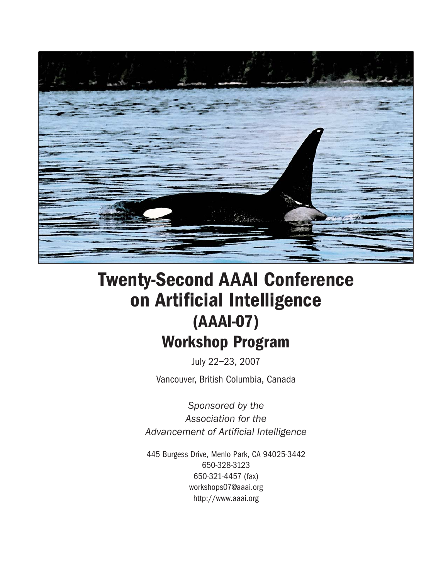

# Twenty-Second AAAI Conference on Artificial Intelligence (AAAI-07) Workshop Program

July 22–23, 2007 Vancouver, British Columbia, Canada

*Sponsored by the Association for the Advancement of Artificial Intelligence*

445 Burgess Drive, Menlo Park, CA 94025-3442 650-328-3123 650-321-4457 (fax) workshops07@aaai.org http://www.aaai.org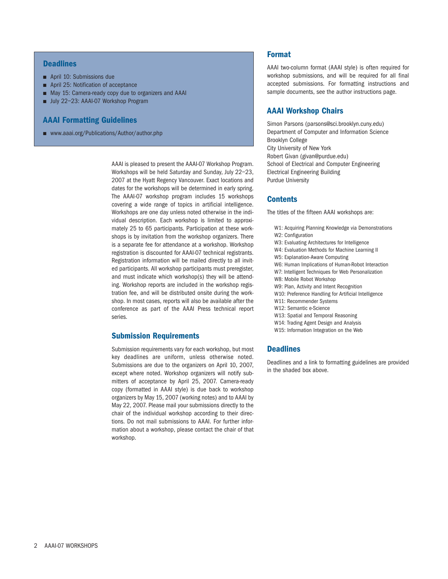## **Deadlines**

- April 10: Submissions due
- April 25: Notification of acceptance
- May 15: Camera-ready copy due to organizers and AAAI
- July 22-23: AAAI-07 Workshop Program

## AAAI Formatting Guidelines

■ www.aaai.org/Publications/Author/author.php

AAAI is pleased to present the AAAI-07 Workshop Program. Workshops will be held Saturday and Sunday, July 22–23, 2007 at the Hyatt Regency Vancouver. Exact locations and dates for the workshops will be determined in early spring. The AAAI-07 workshop program includes 15 workshops covering a wide range of topics in artificial intelligence. Workshops are one day unless noted otherwise in the individual description. Each workshop is limited to approximately 25 to 65 participants. Participation at these workshops is by invitation from the workshop organizers. There is a separate fee for attendance at a workshop. Workshop registration is discounted for AAAI-07 technical registrants. Registration information will be mailed directly to all invited participants. All workshop participants must preregister, and must indicate which workshop(s) they will be attending. Workshop reports are included in the workshop registration fee, and will be distributed onsite during the workshop. In most cases, reports will also be available after the conference as part of the AAAI Press technical report series.

#### Submission Requirements

Submission requirements vary for each workshop, but most key deadlines are uniform, unless otherwise noted. Submissions are due to the organizers on April 10, 2007, except where noted. Workshop organizers will notify submitters of acceptance by April 25, 2007. Camera-ready copy (formatted in AAAI style) is due back to workshop organizers by May 15, 2007 (working notes) and to AAAI by May 22, 2007. Please mail your submissions directly to the chair of the individual workshop according to their directions. Do not mail submissions to AAAI. For further information about a workshop, please contact the chair of that workshop.

# Format

AAAI two-column format (AAAI style) is often required for workshop submissions, and will be required for all final accepted submissions. For formatting instructions and sample documents, see the author instructions page.

## AAAI Workshop Chairs

Simon Parsons (parsons@sci.brooklyn.cuny.edu) Department of Computer and Information Science Brooklyn College City University of New York Robert Givan (givan@purdue.edu) School of Electrical and Computer Engineering Electrical Engineering Building Purdue University

## **Contents**

The titles of the fifteen AAAI workshops are:

- W1: Acquiring Planning Knowledge via Demonstrations
- W2: Configuration
- W3: Evaluating Architectures for Intelligence
- W4: Evaluation Methods for Machine Learning II
- W5: Explanation-Aware Computing
- W6: Human Implications of Human-Robot Interaction
- W7: Intelligent Techniques for Web Personalization
- W8: Mobile Robot Workshop
- W9: Plan, Activity and Intent Recognition
- W10: Preference Handling for Artificial Intelligence
- W11: Recommender Systems
- W12: Semantic e-Science
- W13: Spatial and Temporal Reasoning
- W14: Trading Agent Design and Analysis
- W15: Information Integration on the Web

## **Deadlines**

Deadlines and a link to formatting guidelines are provided in the shaded box above.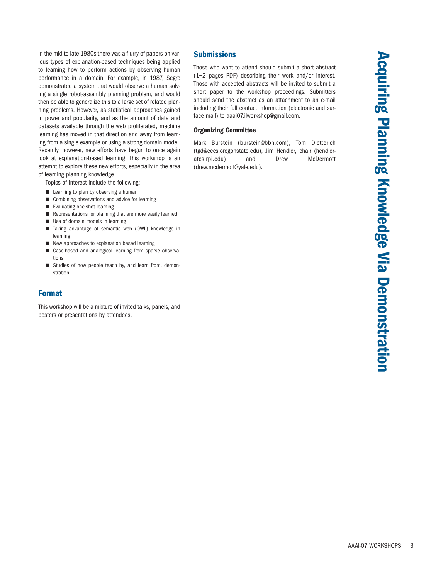In the mid-to-late 1980s there was a flurry of papers on various types of explanation-based techniques being applied to learning how to perform actions by observing human performance in a domain. For example, in 1987, Segre demonstrated a system that would observe a human solving a single robot-assembly planning problem, and would then be able to generalize this to a large set of related planning problems. However, as statistical approaches gained in power and popularity, and as the amount of data and datasets available through the web proliferated, machine learning has moved in that direction and away from learning from a single example or using a strong domain model. Recently, however, new efforts have begun to once again look at explanation-based learning. This workshop is an attempt to explore these new efforts, especially in the area of learning planning knowledge.

Topics of interest include the following:

- Learning to plan by observing a human
- Combining observations and advice for learning
- Evaluating one-shot learning
- Representations for planning that are more easily learned
- Use of domain models in learning
- Taking advantage of semantic web (OWL) knowledge in learning
- New approaches to explanation based learning
- Case-based and analogical learning from sparse observations
- Studies of how people teach by, and learn from, demonstration

## Format

This workshop will be a mixture of invited talks, panels, and posters or presentations by attendees.

## **Submissions**

Those who want to attend should submit a short abstract (1–2 pages PDF) describing their work and/or interest. Those with accepted abstracts will be invited to submit a short paper to the workshop proceedings. Submitters should send the abstract as an attachment to an e-mail including their full contact information (electronic and surface mail) to aaai07.ilworkshop@gmail.com.

#### Organizing Committee

Mark Burstein (burstein@bbn.com), Tom Dietterich (tgd@eecs.oregonstate.edu), Jim Hendler, chair (hendleratcs.rpi.edu) and Drew McDermott (drew.mcdermott@yale.edu).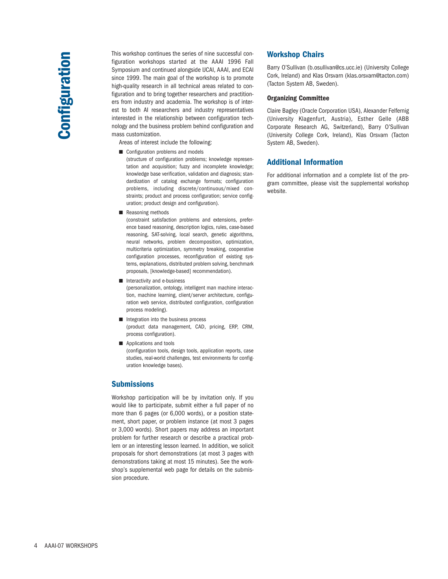This workshop continues the series of nine successful configuration workshops started at the AAAI 1996 Fall Symposium and continued alongside IJCAI, AAAI, and ECAI since 1999. The main goal of the workshop is to promote high-quality research in all technical areas related to configuration and to bring together researchers and practitioners from industry and academia. The workshop is of interest to both AI researchers and industry representatives interested in the relationship between configuration technology and the business problem behind configuration and mass customization.

Areas of interest include the following:

- Configuration problems and models (structure of configuration problems; knowledge representation and acquisition; fuzzy and incomplete knowledge; knowledge base verification, validation and diagnosis; standardization of catalog exchange formats; configuration problems, including discrete/continuous/mixed constraints; product and process configuration; service configuration; product design and configuration).
- Reasoning methods

(constraint satisfaction problems and extensions, preference based reasoning, description logics, rules, case-based reasoning, SAT-solving, local search, genetic algorithms, neural networks, problem decomposition, optimization, multicriteria optimization, symmetry breaking, cooperative configuration processes, reconfiguration of existing systems, explanations, distributed problem solving, benchmark proposals, [knowledge-based] recommendation).

■ Interactivity and e-business

(personalization, ontology, intelligent man machine interaction, machine learning, client/server architecture, configuration web service, distributed configuration, configuration process modeling).

- Integration into the business process (product data management, CAD, pricing, ERP, CRM, process configuration).
- Applications and tools (configuration tools, design tools, application reports, case studies, real-world challenges, test environments for configuration knowledge bases).

## **Submissions**

Workshop participation will be by invitation only. If you would like to participate, submit either a full paper of no more than 6 pages (or 6,000 words), or a position statement, short paper, or problem instance (at most 3 pages or 3,000 words). Short papers may address an important problem for further research or describe a practical problem or an interesting lesson learned. In addition, we solicit proposals for short demonstrations (at most 3 pages with demonstrations taking at most 15 minutes). See the workshop's supplemental web page for details on the submission procedure.

# Workshop Chairs

Barry O'Sullivan (b.osullivan@cs.ucc.ie) (University College Cork, Ireland) and Klas Orsvarn (klas.orsvarn@tacton.com) (Tacton System AB, Sweden).

#### Organizing Committee

Claire Bagley (Oracle Corporation USA), Alexander Felfernig (University Klagenfurt, Austria), Esther Gelle (ABB Corporate Research AG, Switzerland), Barry O'Sullivan (University College Cork, Ireland), Klas Orsvarn (Tacton System AB, Sweden).

# Additional Information

For additional information and a complete list of the program committee, please visit the supplemental workshop website.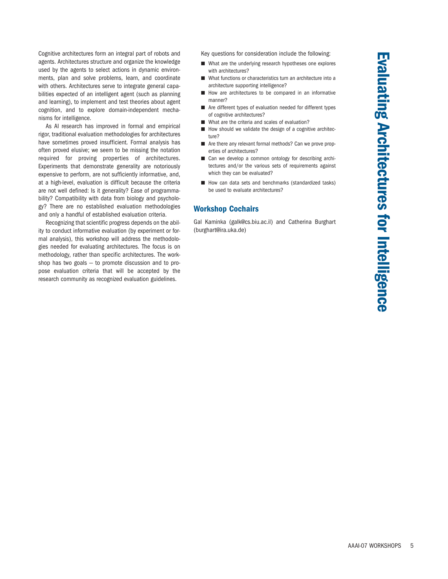Cognitive architectures form an integral part of robots and agents. Architectures structure and organize the knowledge used by the agents to select actions in dynamic environments, plan and solve problems, learn, and coordinate with others. Architectures serve to integrate general capabilities expected of an intelligent agent (such as planning and learning), to implement and test theories about agent cognition, and to explore domain-independent mechanisms for intelligence.

As AI research has improved in formal and empirical rigor, traditional evaluation methodologies for architectures have sometimes proved insufficient. Formal analysis has often proved elusive; we seem to be missing the notation required for proving properties of architectures. Experiments that demonstrate generality are notoriously expensive to perform, are not sufficiently informative, and, at a high-level, evaluation is difficult because the criteria are not well defined: Is it generality? Ease of programmability? Compatibility with data from biology and psychology? There are no established evaluation methodologies and only a handful of established evaluation criteria.

Recognizing that scientific progress depends on the ability to conduct informative evaluation (by experiment or formal analysis), this workshop will address the methodologies needed for evaluating architectures. The focus is on methodology, rather than specific architectures. The workshop has two goals  $-$  to promote discussion and to propose evaluation criteria that will be accepted by the research community as recognized evaluation guidelines.

Key questions for consideration include the following:

- What are the underlying research hypotheses one explores with architectures?
- What functions or characteristics turn an architecture into a architecture supporting intelligence?
- How are architectures to be compared in an informative manner?
- Are different types of evaluation needed for different types of cognitive architectures?
- What are the criteria and scales of evaluation?
- How should we validate the design of a cognitive architecture?
- Are there any relevant formal methods? Can we prove properties of architectures?
- Can we develop a common ontology for describing architectures and/or the various sets of requirements against which they can be evaluated?
- How can data sets and benchmarks (standardized tasks) be used to evaluate architectures?

# Workshop Cochairs

Gal Kaminka (galk@cs.biu.ac.il) and Catherina Burghart (burghart@ira.uka.de)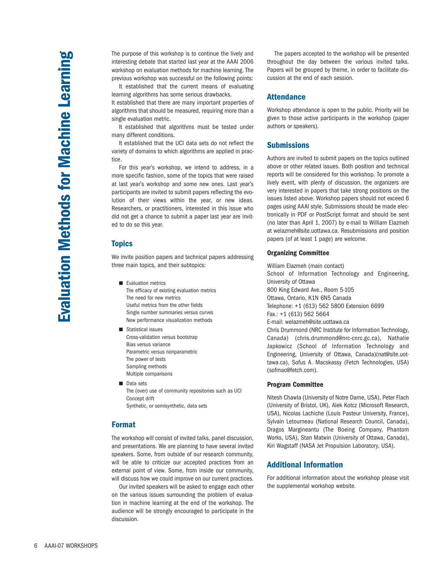The purpose of this workshop is to continue the lively and interesting debate that started last year at the AAAI 2006 workshop on evaluation methods for machine learning. The previous workshop was successful on the following points:

It established that the current means of evaluating learning algorithms has some serious drawbacks. It established that there are many important properties of algorithms that should be measured, requiring more than a single evaluation metric.

It established that algorithms must be tested under many different conditions.

It established that the UCI data sets do not reflect the variety of domains to which algorithms are applied in practice.

For this year's workshop, we intend to address, in a more specific fashion, some of the topics that were raised at last year's workshop and some new ones. Last year's participants are invited to submit papers reflecting the evolution of their views within the year, or new ideas. Researchers, or practitioners, interested in this issue who did not get a chance to submit a paper last year are invited to do so this year.

#### Topics

We invite position papers and technical papers addressing three main topics, and their subtopics:

- Evaluation metrics The efficacy of existing evaluation metrics The need for new metrics Useful metrics from the other fields Single number summaries versus curves New performance visualization methods
- Statistical issues Cross-validation versus bootstrap Bias versus variance Parametric versus nonparametric The power of tests Sampling methods Multiple comparisons
- Data sets The (over) use of community repositories such as UCI Concept drift Synthetic, or semisynthetic, data sets

## Format

The workshop will consist of invited talks, panel discussion, and presentations. We are planning to have several invited speakers. Some, from outside of our research community, will be able to criticize our accepted practices from an external point of view. Some, from inside our community, will discuss how we could improve on our current practices.

Our invited speakers will be asked to engage each other on the various issues surrounding the problem of evaluation in machine learning at the end of the workshop. The audience will be strongly encouraged to participate in the discussion.

The papers accepted to the workshop will be presented throughout the day between the various invited talks. Papers will be grouped by theme, in order to facilitate discussion at the end of each session.

## **Attendance**

Workshop attendance is open to the public. Priority will be given to those active participants in the workshop (paper authors or speakers).

## **Submissions**

Authors are invited to submit papers on the topics outlined above or other related issues. Both position and technical reports will be considered for this workshop. To promote a lively event, with plenty of discussion, the organizers are very interested in papers that take strong positions on the issues listed above. Workshop papers should not exceed 6 pages using AAAI style. Submissions should be made electronically in PDF or PostScript format and should be sent (no later than April 1, 2007) by e-mail to William Elazmeh at welazmeh@site.uottawa.ca. Resubmissions and position papers (of at least 1 page) are welcome.

#### Organizing Committee

William Elazmeh (main contact) School of Information Technology and Engineering, University of Ottawa 800 King Edward Ave., Room 5-105 Ottawa, Ontario, K1N 6N5 Canada Telephone: +1 (613) 562 5800 Extension 6699 Fax.: +1 (613) 562 5664 E-mail: welazmeh@site.uottawa.ca Chris Drummond (NRC Institute for Information Technology, Canada) (chris.drummond@nrc-cnrc.gc.ca), Nathalie Japkowicz (School of Information Technology and Engineering, University of Ottawa, Canada)(nat@site.uottawa.ca), Sofus A. Macskassy (Fetch Technologies, USA) (sofmac@fetch.com).

#### Program Committee

Nitesh Chawla (University of Notre Dame, USA), Peter Flach (University of Bristol, UK), Alek Kotcz (Microsoft Research, USA), Nicolas Lachiche (Louis Pasteur University, France), Sylvain Letourneau (National Research Council, Canada), Dragos Margineantu (The Boeing Company, Phantom Works, USA), Stan Matwin (University of Ottawa, Canada), Kiri Wagstaff (NASA Jet Propulsion Laboratory, USA).

## Additional Information

For additional information about the workshop please visit the supplemental workshop website.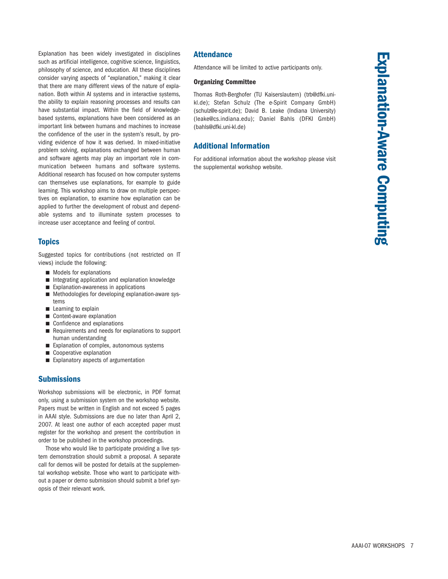Explanation has been widely investigated in disciplines such as artificial intelligence, cognitive science, linguistics, philosophy of science, and education. All these disciplines consider varying aspects of "explanation," making it clear that there are many different views of the nature of explanation. Both within AI systems and in interactive systems, the ability to explain reasoning processes and results can have substantial impact. Within the field of knowledgebased systems, explanations have been considered as an important link between humans and machines to increase the confidence of the user in the system's result, by providing evidence of how it was derived. In mixed-initiative problem solving, explanations exchanged between human and software agents may play an important role in communication between humans and software systems. Additional research has focused on how computer systems can themselves use explanations, for example to guide learning. This workshop aims to draw on multiple perspectives on explanation, to examine how explanation can be applied to further the development of robust and dependable systems and to illuminate system processes to increase user acceptance and feeling of control.

# **Topics**

Suggested topics for contributions (not restricted on IT views) include the following:

- Models for explanations
- Integrating application and explanation knowledge
- Explanation-awareness in applications
- Methodologies for developing explanation-aware systems
- Learning to explain
- Context-aware explanation
- Confidence and explanations
- Requirements and needs for explanations to support human understanding
- Explanation of complex, autonomous systems
- Cooperative explanation
- Explanatory aspects of argumentation

# **Submissions**

Workshop submissions will be electronic, in PDF format only, using a submission system on the workshop website. Papers must be written in English and not exceed 5 pages in AAAI style. Submissions are due no later than April 2, 2007. At least one author of each accepted paper must register for the workshop and present the contribution in order to be published in the workshop proceedings.

Those who would like to participate providing a live system demonstration should submit a proposal. A separate call for demos will be posted for details at the supplemental workshop website. Those who want to participate without a paper or demo submission should submit a brief synopsis of their relevant work.

## Attendance

Attendance will be limited to active participants only.

#### Organizing Committee

Thomas Roth-Berghofer (TU Kaiserslautern) (trb@dfki.unikl.de); Stefan Schulz (The e-Spirit Company GmbH) (schulz@e-spirit.de); David B. Leake (Indiana University) (leake@cs.indiana.edu); Daniel Bahls (DFKI GmbH) (bahls@dfki.uni-kl.de)

## Additional Information

For additional information about the workshop please visit the supplemental workshop website.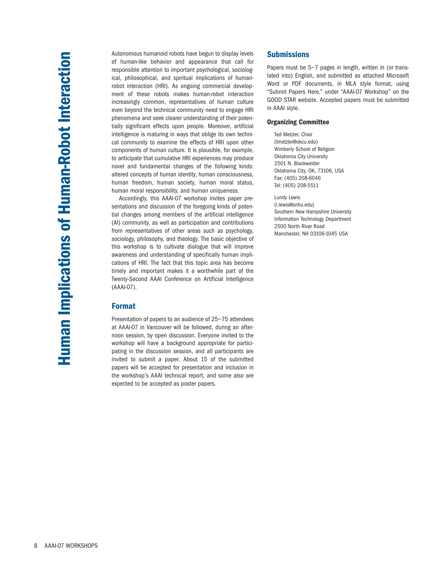Autonomous humanoid robots have begun to display levels of human-like behavior and appearance that call for responsible attention to important psychological, sociological, philosophical, and spiritual implications of humanrobot interaction (HRI). As ongoing commercial development of these robots makes human-robot interaction increasingly common, representatives of human culture even beyond the technical community need to engage HRI phenomena and seek clearer understanding of their potentially significant effects upon people. Moreover, artificial intelligence is maturing in ways that oblige its own technical community to examine the effects of HRI upon other components of human culture. It is plausible, for example, to anticipate that cumulative HRI experiences may produce novel and fundamental changes of the following kinds: altered concepts of human identity, human consciousness, human freedom, human society, human moral status, human moral responsibility, and human uniqueness.

Accordingly, this AAAI-07 workshop invites paper presentations and discussion of the foregoing kinds of potential changes among members of the artificial intelligence (AI) community, as well as participation and contributions from representatives of other areas such as psychology, sociology, philosophy, and theology. The basic objective of this workshop is to cultivate dialogue that will improve awareness and understanding of specifically human implications of HRI. The fact that this topic area has become timely and important makes it a worthwhile part of the Twenty-Second AAAI Conference on Artificial Intelligence (AAAI-07).

# Format

Presentation of papers to an audience of 25–75 attendees at AAAI-07 in Vancouver will be followed, during an afternoon session, by open discussion. Everyone invited to the workshop will have a background appropriate for participating in the discussion session, and all participants are invited to submit a paper. About 15 of the submitted papers will be accepted for presentation and inclusion in the workshop's AAAI technical report, and some also are expected to be accepted as poster papers.

## **Submissions**

Papers must be 5-7 pages in length, written in (or translated into) English, and submitted as attached Microsoft Word or PDF documents, in MLA style format, using "Submit Papers Here," under "AAAI-07 Workshop" on the GOOD STAR website. Accepted papers must be submitted in AAAI style.

#### Organizing Committee

Ted Metzler, Chair (tmetzler@okcu.edu) Wimberly School of Religion Oklahoma City University 2501 N. Blackwelder Oklahoma City, OK, 73106, USA Fax: (405) 208-6046 Tel: (405) 208-5511

Lundy Lewis (l.lewis@snhu.edu) Southern New Hampshire University Information Technology Department 2500 North River Road Manchester, NH 03106-1045 USA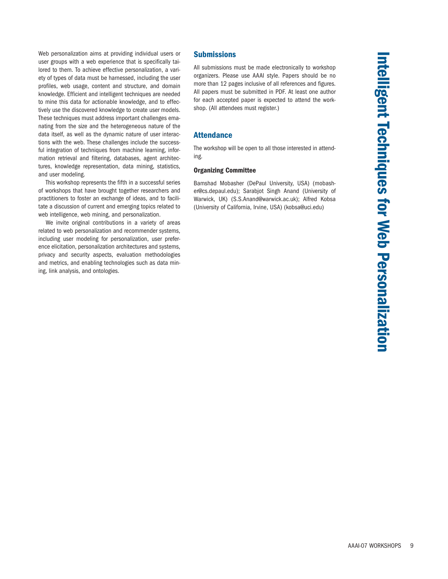Web personalization aims at providing individual users or user groups with a web experience that is specifically tailored to them. To achieve effective personalization, a variety of types of data must be harnessed, including the user profiles, web usage, content and structure, and domain knowledge. Efficient and intelligent techniques are needed to mine this data for actionable knowledge, and to effectively use the discovered knowledge to create user models. These techniques must address important challenges emanating from the size and the heterogeneous nature of the data itself, as well as the dynamic nature of user interactions with the web. These challenges include the successful integration of techniques from machine learning, information retrieval and filtering, databases, agent architectures, knowledge representation, data mining, statistics, and user modeling.

This workshop represents the fifth in a successful series of workshops that have brought together researchers and practitioners to foster an exchange of ideas, and to facilitate a discussion of current and emerging topics related to web intelligence, web mining, and personalization.

We invite original contributions in a variety of areas related to web personalization and recommender systems, including user modeling for personalization, user preference elicitation, personalization architectures and systems, privacy and security aspects, evaluation methodologies and metrics, and enabling technologies such as data mining, link analysis, and ontologies.

## **Submissions**

All submissions must be made electronically to workshop organizers. Please use AAAI style. Papers should be no more than 12 pages inclusive of all references and figures. All papers must be submitted in PDF. At least one author for each accepted paper is expected to attend the workshop. (All attendees must register.)

## **Attendance**

The workshop will be open to all those interested in attending.

#### Organizing Committee

Bamshad Mobasher (DePaul University, USA) (mobasher@cs.depaul.edu); Sarabjot Singh Anand (University of Warwick, UK) (S.S.Anand@warwick.ac.uk); Alfred Kobsa (University of California, Irvine, USA) (kobsa@uci.edu)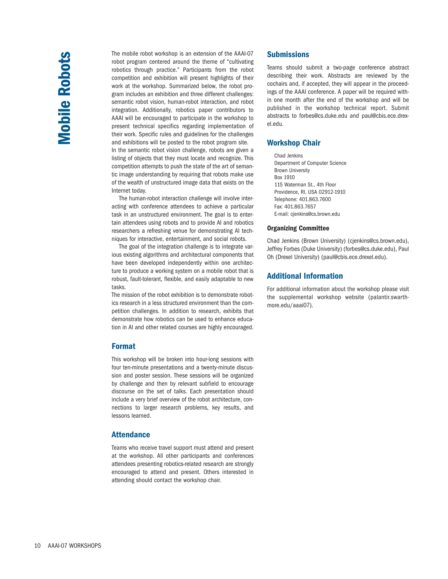The mobile robot workshop is an extension of the AAAI-07 robot program centered around the theme of "cultivating robotics through practice." Participants from the robot competition and exhibition will present highlights of their work at the workshop. Summarized below, the robot program includes an exhibition and three different challenges: semantic robot vision, human-robot interaction, and robot integration. Additionally, robotics paper contributors to AAAI will be encouraged to participate in the workshop to present technical specifics regarding implementation of their work. Specific rules and guidelines for the challenges and exhibitions will be posted to the robot program site. In the semantic robot vision challenge, robots are given a listing of objects that they must locate and recognize. This competition attempts to push the state of the art of semantic image understanding by requiring that robots make use of the wealth of unstructured image data that exists on the Internet today.

The human-robot interaction challenge will involve interacting with conference attendees to achieve a particular task in an unstructured environment. The goal is to entertain attendees using robots and to provide AI and robotics researchers a refreshing venue for demonstrating AI techniques for interactive, entertainment, and social robots.

The goal of the integration challenge is to integrate various existing algorithms and architectural components that have been developed independently within one architecture to produce a working system on a mobile robot that is robust, fault-tolerant, flexible, and easily adaptable to new tasks.

The mission of the robot exhibition is to demonstrate robotics research in a less structured environment than the competition challenges. In addition to research, exhibits that demonstrate how robotics can be used to enhance education in AI and other related courses are highly encouraged.

## Format

This workshop will be broken into hour-long sessions with four ten-minute presentations and a twenty-minute discussion and poster session. These sessions will be organized by challenge and then by relevant subfield to encourage discourse on the set of talks. Each presentation should include a very brief overview of the robot architecture, connections to larger research problems, key results, and lessons learned.

#### Attendance

Teams who receive travel support must attend and present at the workshop. All other participants and conferences attendees presenting robotics-related research are strongly encouraged to attend and present. Others interested in attending should contact the workshop chair.

## **Submissions**

Teams should submit a two-page conference abstract describing their work. Abstracts are reviewed by the cochairs and, if accepted, they will appear in the proceedings of the AAAI conference. A paper will be required within one month after the end of the workshop and will be published in the workshop technical report. Submit abstracts to forbes@cs.duke.edu and paul@cbis.ece.drexel.edu.

#### Workshop Chair

Chad Jenkins Department of Computer Science Brown University Box 1910 115 Waterman St., 4th Floor Providence, RI, USA 02912-1910 Telephone: 401.863.7600 Fax: 401.863.7657 E-mail: cjenkins@cs.brown.edu

#### Organizing Committee

Chad Jenkins (Brown University) (cjenkins@cs.brown.edu), Jeffrey Forbes (Duke University) (forbes@cs.duke.edu), Paul Oh (Drexel University) (paul@cbis.ece.drexel.edu).

## Additional Information

For additional information about the workshop please visit the supplemental workshop website (palantir.swarthmore.edu/aaai07).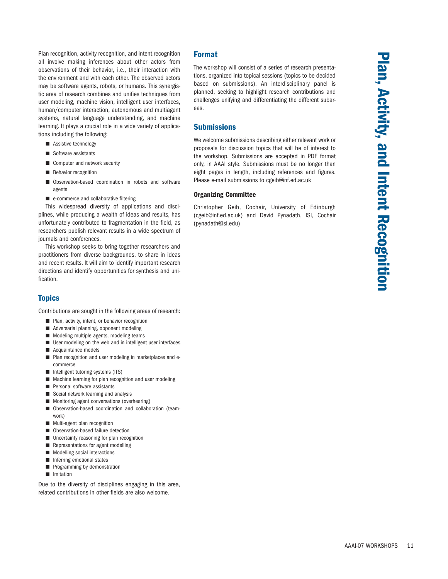Plan recognition, activity recognition, and intent recognition all involve making inferences about other actors from observations of their behavior, i.e., their interaction with the environment and with each other. The observed actors may be software agents, robots, or humans. This synergistic area of research combines and unifies techniques from user modeling, machine vision, intelligent user interfaces, human/computer interaction, autonomous and multiagent systems, natural language understanding, and machine learning. It plays a crucial role in a wide variety of applications including the following:

- Assistive technology
- Software assistants
- Computer and network security
- Behavior recognition
- Observation-based coordination in robots and software agents
- e-commerce and collaborative filtering

This widespread diversity of applications and disciplines, while producing a wealth of ideas and results, has unfortunately contributed to fragmentation in the field, as researchers publish relevant results in a wide spectrum of journals and conferences.

This workshop seeks to bring together researchers and practitioners from diverse backgrounds, to share in ideas and recent results. It will aim to identify important research directions and identify opportunities for synthesis and unification.

# **Topics**

Contributions are sought in the following areas of research:

- Plan, activity, intent, or behavior recognition
- Adversarial planning, opponent modeling
- Modeling multiple agents, modeling teams
- User modeling on the web and in intelligent user interfaces
- Acquaintance models
- Plan recognition and user modeling in marketplaces and ecommerce
- Intelligent tutoring systems (ITS)
- Machine learning for plan recognition and user modeling
- Personal software assistants
- Social network learning and analysis
- Monitoring agent conversations (overhearing)
- Observation-based coordination and collaboration (teamwork)
- Multi-agent plan recognition
- Observation-based failure detection
- Uncertainty reasoning for plan recognition
- Representations for agent modelling
- Modelling social interactions
- Inferring emotional states
- Programming by demonstration
- Imitation

Due to the diversity of disciplines engaging in this area, related contributions in other fields are also welcome.

#### Format

The workshop will consist of a series of research presentations, organized into topical sessions (topics to be decided based on submissions). An interdisciplinary panel is planned, seeking to highlight research contributions and challenges unifying and differentiating the different subareas.

#### **Submissions**

We welcome submissions describing either relevant work or proposals for discussion topics that will be of interest to the workshop. Submissions are accepted in PDF format only, in AAAI style. Submissions must be no longer than eight pages in length, including references and figures. Please e-mail submissions to cgeib@inf.ed.ac.uk

#### Organizing Committee

Christopher Geib, Cochair, University of Edinburgh (cgeib@inf.ed.ac.uk) and David Pynadath, ISI, Cochair (pynadath@isi.edu)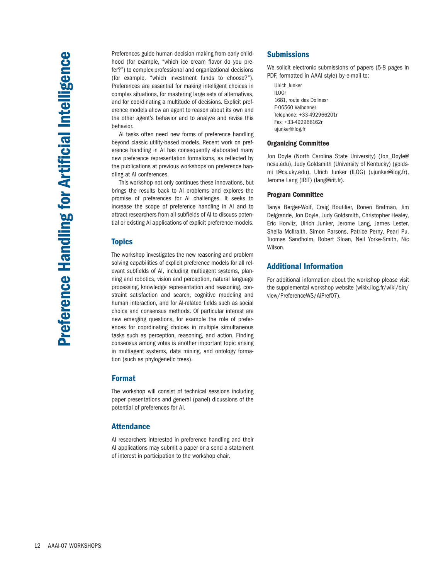Preferences guide human decision making from early childhood (for example, "which ice cream flavor do you prefer?") to complex professional and organizational decisions (for example, "which investment funds to choose?"). Preferences are essential for making intelligent choices in complex situations, for mastering large sets of alternatives, and for coordinating a multitude of decisions. Explicit preference models allow an agent to reason about its own and the other agent's behavior and to analyze and revise this behavior.

AI tasks often need new forms of preference handling beyond classic utility-based models. Recent work on preference handling in AI has consequently elaborated many new preference representation formalisms, as reflected by the publications at previous workshops on preference handling at AI conferences.

This workshop not only continues these innovations, but brings the results back to AI problems and explores the promise of preferences for AI challenges. It seeks to increase the scope of preference handling in AI and to attract researchers from all subfields of AI to discuss potential or existing AI applications of explicit preference models.

## **Topics**

The workshop investigates the new reasoning and problem solving capabilities of explicit preference models for all relevant subfields of AI, including multiagent systems, planning and robotics, vision and perception, natural language processing, knowledge representation and reasoning, constraint satisfaction and search, cognitive modeling and human interaction, and for AI-related fields such as social choice and consensus methods. Of particular interest are new emerging questions, for example the role of preferences for coordinating choices in multiple simultaneous tasks such as perception, reasoning, and action. Finding consensus among votes is another important topic arising in multiagent systems, data mining, and ontology formation (such as phylogenetic trees).

### Format

The workshop will consist of technical sessions including paper presentations and general (panel) dicussions of the potential of preferences for AI.

## Attendance

AI researchers interested in preference handling and their AI applications may submit a paper or a send a statement of interest in participation to the workshop chair.

## **Submissions**

We solicit electronic submissions of papers (5-8 pages in PDF, formatted in AAAI style) by e-mail to:

Ulrich Junker ILOGr 1681, route des Dolinesr F-06560 Valbonner Telephone: +33-492966201r Fax: +33-492966162r ujunker@ilog.fr

#### Organizing Committee

Jon Doyle (North Carolina State University) (Jon\_Doyle@ ncsu.edu), Judy Goldsmith (University of Kentucky) (goldsmi t@cs.uky.edu), Ulrich Junker (ILOG) (ujunker@ilog.fr), Jerome Lang (IRIT) (lang@irit.fr).

#### Program Committee

Tanya Berger-Wolf, Craig Boutilier, Ronen Brafman, Jim Delgrande, Jon Doyle, Judy Goldsmith, Christopher Healey, Eric Horvitz, Ulrich Junker, Jerome Lang, James Lester, Sheila McIlraith, Simon Parsons, Patrice Perny, Pearl Pu, Tuomas Sandholm, Robert Sloan, Neil Yorke-Smith, Nic Wilson.

## Additional Information

For additional information about the workshop please visit the supplemental workshop website (wikix.ilog.fr/wiki/bin/ view/PreferenceWS/AiPref07).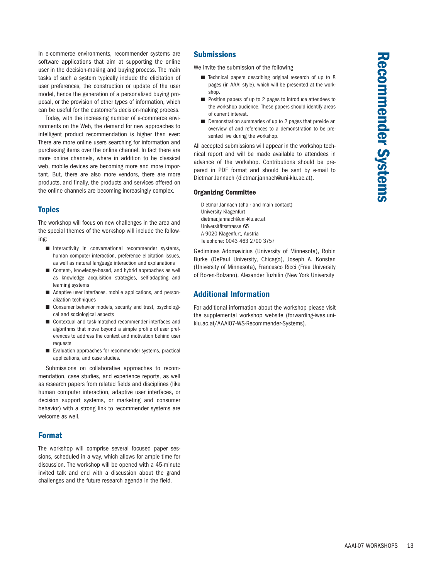In e-commerce environments, recommender systems are software applications that aim at supporting the online user in the decision-making and buying process. The main tasks of such a system typically include the elicitation of user preferences, the construction or update of the user model, hence the generation of a personalized buying proposal, or the provision of other types of information, which can be useful for the customer's decision-making process.

Today, with the increasing number of e-commerce environments on the Web, the demand for new approaches to intelligent product recommendation is higher than ever: There are more online users searching for information and purchasing items over the online channel. In fact there are more online channels, where in addition to he classical web, mobile devices are becoming more and more important. But, there are also more vendors, there are more products, and finally, the products and services offered on the online channels are becoming increasingly complex.

# **Topics**

The workshop will focus on new challenges in the area and the special themes of the workshop will include the following:

- Interactivity in conversational recommender systems, human computer interaction, preference elicitation issues, as well as natural language interaction and explanations
- Content-, knowledge-based, and hybrid approaches as well as knowledge acquisition strategies, self-adapting and learning systems
- Adaptive user interfaces, mobile applications, and personalization techniques
- Consumer behavior models, security and trust, psychological and sociological aspects
- Contextual and task-matched recommender interfaces and algorithms that move beyond a simple profile of user preferences to address the context and motivation behind user requests
- Evaluation approaches for recommender systems, practical applications, and case studies.

Submissions on collaborative approaches to recommendation, case studies, and experience reports, as well as research papers from related fields and disciplines (like human computer interaction, adaptive user interfaces, or decision support systems, or marketing and consumer behavior) with a strong link to recommender systems are welcome as well.

## Format

The workshop will comprise several focused paper sessions, scheduled in a way, which allows for ample time for discussion. The workshop will be opened with a 45-minute invited talk and end with a discussion about the grand challenges and the future research agenda in the field.

## **Submissions**

We invite the submission of the following

- Technical papers describing original research of up to 8 pages (in AAAI style), which will be presented at the workshop.
- Position papers of up to 2 pages to introduce attendees to the workshop audience. These papers should identify areas of current interest.
- Demonstration summaries of up to 2 pages that provide an overview of and references to a demonstration to be presented live during the workshop.

All accepted submissions will appear in the workshop technical report and will be made available to attendees in advance of the workshop. Contributions should be prepared in PDF format and should be sent by e-mail to Dietmar Jannach (dietmar.jannach@uni-klu.ac.at).

#### Organizing Committee

Dietmar Jannach (chair and main contact) University Klagenfurt dietmar.jannach@uni-klu.ac.at Universitätsstrasse 65 A-9020 Klagenfurt, Austria Telephone: 0043 463 2700 3757

Gediminas Adomavicius (University of Minnesota), Robin Burke (DePaul University, Chicago), Joseph A. Konstan (University of Minnesota), Francesco Ricci (Free University of Bozen-Bolzano), Alexander Tuzhilin (New York University

## Additional Information

For additional information about the workshop please visit the supplemental workshop website (forwarding-iwas.uniklu.ac.at/AAAI07-WS-Recommender-Systems).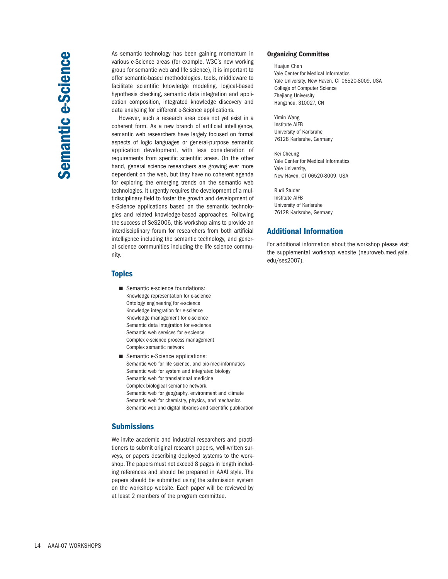As semantic technology has been gaining momentum in various e-Science areas (for example, W3C's new working group for semantic web and life science), it is important to offer semantic-based methodologies, tools, middleware to facilitate scientific knowledge modeling, logical-based hypothesis checking, semantic data integration and application composition, integrated knowledge discovery and data analyzing for different e-Science applications.

However, such a research area does not yet exist in a coherent form. As a new branch of artificial intelligence, semantic web researchers have largely focused on formal aspects of logic languages or general-purpose semantic application development, with less consideration of requirements from specific scientific areas. On the other hand, general science researchers are growing ever more dependent on the web, but they have no coherent agenda for exploring the emerging trends on the semantic web technologies. It urgently requires the development of a multidisciplinary field to foster the growth and development of e-Science applications based on the semantic technologies and related knowledge-based approaches. Following the success of SeS2006, this workshop aims to provide an interdisciplinary forum for researchers from both artificial intelligence including the semantic technology, and general science communities including the life science community.

### **Topics**

- Semantic e-science foundations: Knowledge representation for e-science Ontology engineering for e-science Knowledge integration for e-science Knowledge management for e-science Semantic data integration for e-science Semantic web services for e-science Complex e-science process management Complex semantic network
- Semantic e-Science applications: Semantic web for life science, and bio-med-informatics Semantic web for system and integrated biology Semantic web for translational medicine Complex biological semantic network. Semantic web for geography, environment and climate Semantic web for chemistry, physics, and mechanics Semantic web and digital libraries and scientific publication

## **Submissions**

We invite academic and industrial researchers and practitioners to submit original research papers, well-written surveys, or papers describing deployed systems to the workshop. The papers must not exceed 8 pages in length including references and should be prepared in AAAI style. The papers should be submitted using the submission system on the workshop website. Each paper will be reviewed by at least 2 members of the program committee.

#### Organizing Committee

Huajun Chen Yale Center for Medical Informatics Yale University, New Haven, CT 06520-8009, USA College of Computer Science Zhejiang University Hangzhou, 310027, CN

Yimin Wang Institute AIFB University of Karlsruhe 76128 Karlsruhe, Germany

Kei Cheung Yale Center for Medical Informatics Yale University, New Haven, CT 06520-8009, USA

Rudi Studer Institute AIFB University of Karlsruhe 76128 Karlsruhe, Germany

# Additional Information

For additional information about the workshop please visit the supplemental workshop website (neuroweb.med.yale. edu/ses2007).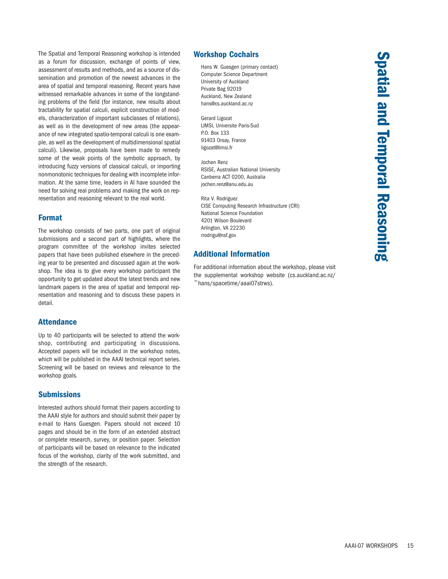The Spatial and Temporal Reasoning workshop is intended as a forum for discussion, exchange of points of view, assessment of results and methods, and as a source of dissemination and promotion of the newest advances in the area of spatial and temporal reasoning. Recent years have witnessed remarkable advances in some of the longstanding problems of the field (for instance, new results about tractability for spatial calculi, explicit construction of models, characterization of important subclasses of relations), as well as in the development of new areas (the appearance of new integrated spatio-temporal calculi is one example, as well as the development of multidimensional spatial calculi). Likewise, proposals have been made to remedy some of the weak points of the symbolic approach, by introducing fuzzy versions of classical calculi, or importing nonmonotonic techniques for dealing with incomplete information. At the same time, leaders in AI have sounded the need for solving real problems and making the work on representation and reasoning relevant to the real world.

## Format

The workshop consists of two parts, one part of original submissions and a second part of highlights, where the program committee of the workshop invites selected papers that have been published elsewhere in the preceding year to be presented and discussed again at the workshop. The idea is to give every workshop participant the opportunity to get updated about the latest trends and new landmark papers in the area of spatial and temporal representation and reasoning and to discuss these papers in detail.

## Attendance

Up to 40 participants will be selected to attend the workshop, contributing and participating in discussions. Accepted papers will be included in the workshop notes, which will be published in the AAAI technical report series. Screening will be based on reviews and relevance to the workshop goals.

# **Submissions**

Interested authors should format their papers according to the AAAI style for authors and should submit their paper by e-mail to Hans Guesgen. Papers should not exceed 10 pages and should be in the form of an extended abstract or complete research, survey, or position paper. Selection of participants will be based on relevance to the indicated focus of the workshop, clarity of the work submitted, and the strength of the research.

# Workshop Cochairs

Hans W. Guesgen (primary contact) Computer Science Department University of Auckland Private Bag 92019 Auckland, New Zealand hans@cs.auckland.ac.nz

Gerard Ligozat LIMSI, Universite Paris-Sud P.O. Box 133 91403 Orsay, France ligozat@limsi.fr

Jochen Renz RSISE, Australian National University Canberra ACT 0200, Australia jochen.renz@anu.edu.au

Rita V. Rodriguez CISE Computing Research Infrastructure (CRI) National Science Foundation 4201 Wilson Boulevard Arlington, VA 22230 rrodrigu@nsf.gov

# Additional Information

For additional information about the workshop, please visit the supplemental workshop website (cs.auckland.ac.nz/  $\tilde{\sim}$ hans/spacetime/aaai07strws).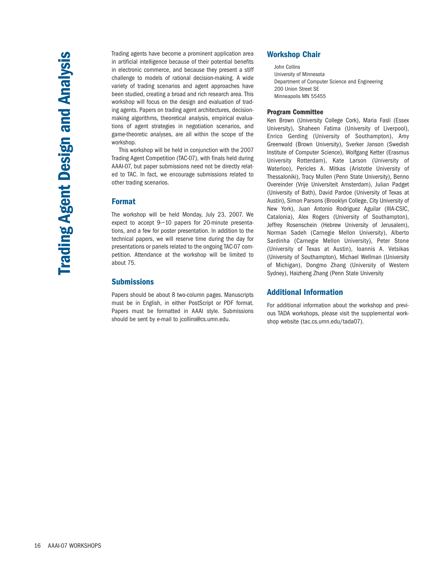Trading agents have become a prominent application area in artificial intelligence because of their potential benefits in electronic commerce, and because they present a stiff challenge to models of rational decision-making. A wide variety of trading scenarios and agent approaches have been studied, creating a broad and rich research area. This workshop will focus on the design and evaluation of trading agents. Papers on trading agent architectures, decisionmaking algorithms, theoretical analysis, empirical evaluations of agent strategies in negotiation scenarios, and game-theoretic analyses, are all within the scope of the workshop.

This workshop will be held in conjunction with the 2007 Trading Agent Competition (TAC-07), with finals held during AAAI-07, but paper submissions need not be directly related to TAC. In fact, we encourage submissions related to other trading scenarios.

#### Format

The workshop will be held Monday, July 23, 2007. We expect to accept 9-–10 papers for 20-minute presentations, and a few for poster presentation. In addition to the technical papers, we will reserve time during the day for presentations or panels related to the ongoing TAC-07 competition. Attendance at the workshop will be limited to about 75.

## **Submissions**

Papers should be about 8 two-column pages. Manuscripts must be in English, in either PostScript or PDF format. Papers must be formatted in AAAI style. Submissions should be sent by e-mail to jcollins@cs.umn.edu.

# Workshop Chair

John Collins University of Minnesota Department of Computer Science and Engineering 200 Union Street SE Minneapolis MN 55455

#### Program Committee

Ken Brown (University College Cork), Maria Fasli (Essex University), Shaheen Fatima (University of Liverpool), Enrico Gerding (University of Southampton), Amy Greenwald (Brown University), Sverker Janson (Swedish Institute of Computer Science), Wolfgang Ketter (Erasmus University Rotterdam), Kate Larson (University of Waterloo), Pericles A. Mitkas (Aristotle University of Thessaloniki), Tracy Mullen (Penn State University), Benno Overeinder (Vrije Universiteit Amsterdam), Julian Padget (University of Bath), David Pardoe (University of Texas at Austin), Simon Parsons (Brooklyn College, City University of New York), Juan Antonio Rodriguez Aguilar (IIIA-CSIC, Catalonia), Alex Rogers (University of Southampton), Jeffrey Rosenschein (Hebrew University of Jerusalem), Norman Sadeh (Carnegie Mellon University), Alberto Sardinha (Carnegie Mellon University), Peter Stone (University of Texas at Austin), Ioannis A. Vetsikas (University of Southampton), Michael Wellman (University of Michigan), Dongmo Zhang (University of Western Sydney), Haizheng Zhang (Penn State University

## Additional Information

For additional information about the workshop and previous TADA workshops, please visit the supplemental workshop website (tac.cs.umn.edu/tada07).